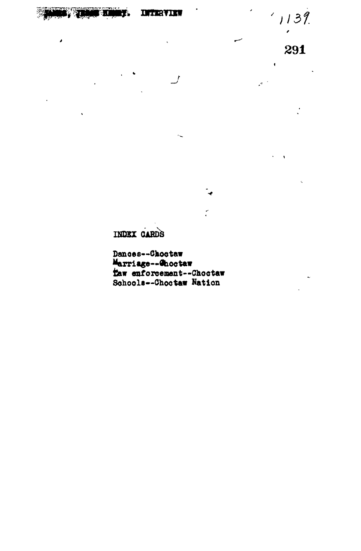$\ddot{\phantom{a}}$ 

 $\ddot{\phantom{a}}$ 

輿

 $\pmb{\lambda}$ 

291

ŧ

 $\ddot{\phantom{0}}$ 

 $'$ 1139.

INDEX CARDS

Dances--Choctaw<br>Marriage--Choctaw<br>Taw enforcement--Choctaw<br>Schools--Choctaw Nation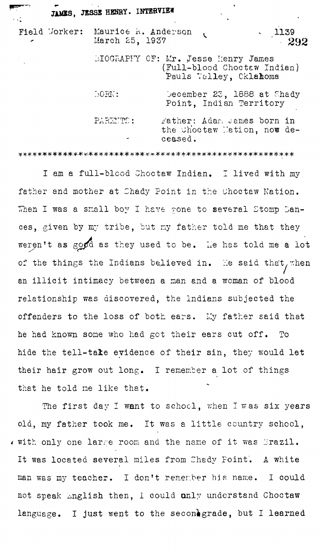| Field Morker: Maurice R. Anderson,<br>$\sim$ | March 25, 1937 | $\frac{1139}{292}$                                                                           |
|----------------------------------------------|----------------|----------------------------------------------------------------------------------------------|
|                                              |                | BIOGRAPHY OF: Mr. Jesse Henry James<br>(Full-blood Choctaw Indian)<br>Pauls Valley, Cklahoma |
|                                              | $\text{LORK:}$ | December 23, 1888 at Shady<br>Point, Indian Territory                                        |
|                                              | PARENTS:       | Father: Adam James born in<br>the choctaw Mation, now de-<br>ceased.                         |

^^% *4^n ^F\** ^^^ ^^^ ^^^ ^^^ ^^^ ^^^ ^^^ ^^^ ^^^ ^^> ^T^ ^^^ ^^^ ^^^ ^T^ ^^^ ^^^ ^^x ^^^ ^ ^ ^^^ ^^^ ^1 ^ \*^^^ ^^^ ^T\* ^ ^ ^^V ^^^ ^^^ ^^^ j^ ^ ^^V ^^^ ^^^ ^^^ ^\*ls ^^^ ^^\ ^^V ^^^ ^^^ ^^V ^^^ ^ ^ ^ ^ ^^H ^ ^ ^^H ^^\ *^T^*

I am a full-blood Choctaw Indian. I lived with my father and mother at Chady Point in the Choctaw Nation. Then I was a small boy I have gone to several Stomp Dances, given by my tribe, but my father told me that they weren't as good as they used to be. Le has told me a lot of the things the Indians believed in. He said that, when an illicit intimacy between a man end a woman of blood relationship was discovered, the Indians subjected the offenders to the loss of both ears. My father said that he had known some who had get their ears cut off. hide the tell-tale evidence of their sin, they would let their hair grow out long. I remember a lot of things that he told me like that.

The first day I want to school, when I was six years old, my father took me. It was a little country school, . with only one large room and the name of it was Brazil. It was located several miles from Chady Foint. A white man was my teacher. I don't remember his name. I could not speak English then, I could only understand Choctaw language. I just went to the secondgrade, but I learned